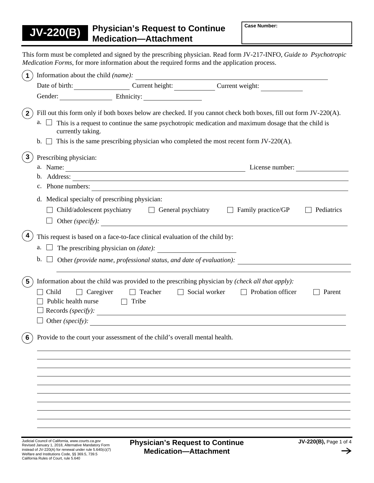This form must be completed and signed by the prescribing physician. Read form JV-217-INFO, *Guide to Psychotropic Medication Forms,* for more information about the required forms and the application process.

|                                                    |                                                                                                                                                       | Date of birth: Current height: Current height: Current weight:                                                                                                                                                                                                                                                      |            |
|----------------------------------------------------|-------------------------------------------------------------------------------------------------------------------------------------------------------|---------------------------------------------------------------------------------------------------------------------------------------------------------------------------------------------------------------------------------------------------------------------------------------------------------------------|------------|
|                                                    | Gender: Ethnicity:                                                                                                                                    |                                                                                                                                                                                                                                                                                                                     |            |
| $a.$ $\Box$<br>currently taking.<br>$\mathbf{b}$ . |                                                                                                                                                       | Fill out this form only if both boxes below are checked. If you cannot check both boxes, fill out form JV-220(A).<br>This is a request to continue the same psychotropic medication and maximum dosage that the child is<br>This is the same prescribing physician who completed the most recent form $JV-220(A)$ . |            |
| Prescribing physician:                             |                                                                                                                                                       |                                                                                                                                                                                                                                                                                                                     |            |
|                                                    |                                                                                                                                                       | c. Phone numbers:                                                                                                                                                                                                                                                                                                   |            |
|                                                    | d. Medical specialty of prescribing physician:<br>Child/adolescent psychiatry $\Box$ General psychiatry $\Box$ Family practice/GP<br>Other (specify): |                                                                                                                                                                                                                                                                                                                     | Pediatrics |
| a.<br>b.                                           | This request is based on a face-to-face clinical evaluation of the child by:                                                                          | Other (provide name, professional status, and date of evaluation):                                                                                                                                                                                                                                                  |            |
| $5\phantom{.0}$<br>Child<br>Public health nurse    | $\Box$ Caregiver<br>$\Box$ Teacher<br>$\Box$ Tribe<br>$\text{Reords } (\text{specify})$ :                                                             | Information about the child was provided to the prescribing physician by (check all that apply):<br>$\Box$ Social worker<br>$\Box$ Probation officer                                                                                                                                                                | Parent     |
|                                                    | Other $(specify)$ :                                                                                                                                   |                                                                                                                                                                                                                                                                                                                     |            |
| 6                                                  | Provide to the court your assessment of the child's overall mental health.                                                                            |                                                                                                                                                                                                                                                                                                                     |            |
|                                                    |                                                                                                                                                       |                                                                                                                                                                                                                                                                                                                     |            |
|                                                    |                                                                                                                                                       |                                                                                                                                                                                                                                                                                                                     |            |
|                                                    |                                                                                                                                                       |                                                                                                                                                                                                                                                                                                                     |            |
|                                                    |                                                                                                                                                       |                                                                                                                                                                                                                                                                                                                     |            |
|                                                    |                                                                                                                                                       |                                                                                                                                                                                                                                                                                                                     |            |
|                                                    |                                                                                                                                                       |                                                                                                                                                                                                                                                                                                                     |            |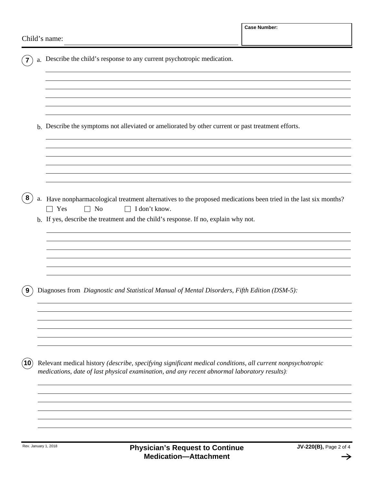|    |            | a. Describe the child's response to any current psychotropic medication.                                                                                                                                   |
|----|------------|------------------------------------------------------------------------------------------------------------------------------------------------------------------------------------------------------------|
|    |            |                                                                                                                                                                                                            |
|    |            |                                                                                                                                                                                                            |
|    |            | b. Describe the symptoms not alleviated or ameliorated by other current or past treatment efforts.                                                                                                         |
|    |            |                                                                                                                                                                                                            |
|    |            |                                                                                                                                                                                                            |
| 8  | ${\bf a}.$ | Have nonpharmacological treatment alternatives to the proposed medications been tried in the last six months?<br>Yes<br>No<br>I don't know.<br>$\Box$<br>$\Box$                                            |
|    |            | b. If yes, describe the treatment and the child's response. If no, explain why not.                                                                                                                        |
|    |            |                                                                                                                                                                                                            |
|    |            |                                                                                                                                                                                                            |
|    |            | Diagnoses from Diagnostic and Statistical Manual of Mental Disorders, Fifth Edition (DSM-5):                                                                                                               |
|    |            |                                                                                                                                                                                                            |
|    |            |                                                                                                                                                                                                            |
| 10 |            | Relevant medical history (describe, specifying significant medical conditions, all current nonpsychotropic<br>medications, date of last physical examination, and any recent abnormal laboratory results): |
|    |            |                                                                                                                                                                                                            |
|    |            |                                                                                                                                                                                                            |
|    |            |                                                                                                                                                                                                            |

 $\rightarrow$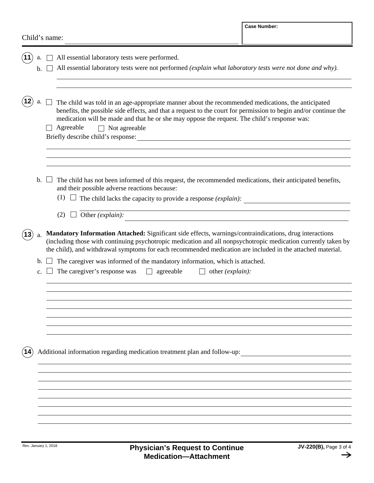| Child's name: |  |
|---------------|--|
|---------------|--|

| а.<br>$\mathbf{b}$ . | All essential laboratory tests were performed.<br>All essential laboratory tests were not performed (explain what laboratory tests were not done and why).                                                                                                                                                                                                  |
|----------------------|-------------------------------------------------------------------------------------------------------------------------------------------------------------------------------------------------------------------------------------------------------------------------------------------------------------------------------------------------------------|
| а.                   | The child was told in an age-appropriate manner about the recommended medications, the anticipated<br>benefits, the possible side effects, and that a request to the court for permission to begin and/or continue the<br>medication will be made and that he or she may oppose the request. The child's response was:<br>Agreeable<br>$\Box$ Not agreeable |
| $\mathbf{b}$ .       | The child has not been informed of this request, the recommended medications, their anticipated benefits,<br>and their possible adverse reactions because:<br>(1) $\Box$ The child lacks the capacity to provide a response <i>(explain)</i> :<br>Other (explain):<br>(2)                                                                                   |
| a.                   | Mandatory Information Attached: Significant side effects, warnings/contraindications, drug interactions<br>(including those with continuing psychotropic medication and all nonpsychotropic medication currently taken by<br>the child), and withdrawal symptoms for each recommended medication are included in the attached material.                     |
| $\mathbf b$ .<br>c.  | The caregiver was informed of the mandatory information, which is attached.<br>The caregiver's response was<br>agreeable<br>other ( <i>explain</i> ):<br>$\Box$                                                                                                                                                                                             |
|                      | Additional information regarding medication treatment plan and follow-up:                                                                                                                                                                                                                                                                                   |